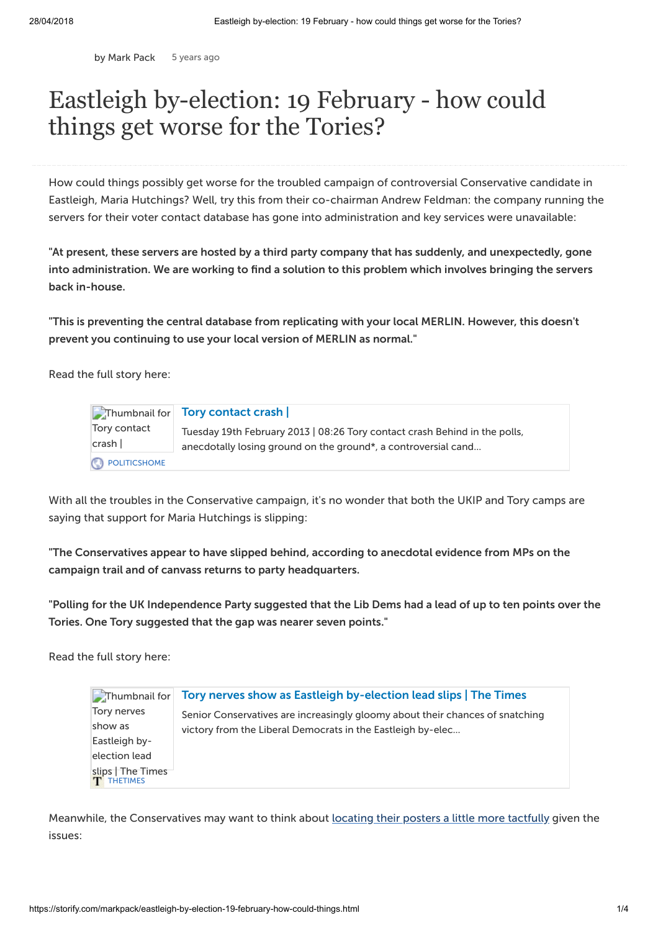by [Mark](https://storify.com/markpack) Pack 5 [years](http://storify.com/markpack/eastleigh-by-election-19-february-how-could-things) ago

## Eastleigh by-election: 19 February - how could things get worse for the Tories?

How could things possibly get worse for the troubled campaign of controversial Conservative candidate in Eastleigh, Maria Hutchings? Well, try this from their co-chairman Andrew Feldman: the company running the servers for their voter contact database has gone into administration and key services were unavailable:

"At present, these servers are hosted by a third party company that has suddenly, and unexpectedly, gone into administration. We are working to find a solution to this problem which involves bringing the servers back in-house.

"This is preventing the central database from replicating with your local MERLIN. However, this doesn't prevent you continuing to use your local version of MERLIN as normal."

Read the full story here:

|                       | Thumbnail for Tory contact crash                                                                                                             |
|-----------------------|----------------------------------------------------------------------------------------------------------------------------------------------|
| Tory contact<br>crash | Tuesday 19th February 2013   08:26 Tory contact crash Behind in the polls,<br>anecdotally losing ground on the ground*, a controversial cand |
| POLITICSHOME          |                                                                                                                                              |

With all the troubles in the Conservative campaign, it's no wonder that both the UKIP and Tory camps are saying that support for Maria Hutchings is slipping:

"The Conservatives appear to have slipped behind, according to anecdotal evidence from MPs on the campaign trail and of canvass returns to party headquarters.

"Polling for the UK Independence Party suggested that the Lib Dems had a lead of up to ten points over the Tories. One Tory suggested that the gap was nearer seven points."

Read the full story here:

| Thumbnail for                          | Tory nerves show as Eastleigh by-election lead slips   The Times              |
|----------------------------------------|-------------------------------------------------------------------------------|
| Tory nerves                            | Senior Conservatives are increasingly gloomy about their chances of snatching |
| show as                                | victory from the Liberal Democrats in the Eastleigh by-elec                   |
| Eastleigh by-                          |                                                                               |
| election lead                          |                                                                               |
| slips   The Times<br><b>T</b> THETIMES |                                                                               |

Meanwhile, the Conservatives may want to think about locating their posters a little more [tactfully](http://politicalscrapbook.net/2013/02/the-eastleigh-school-that-isnt-offended-by-tory-snobbery/) given the issues: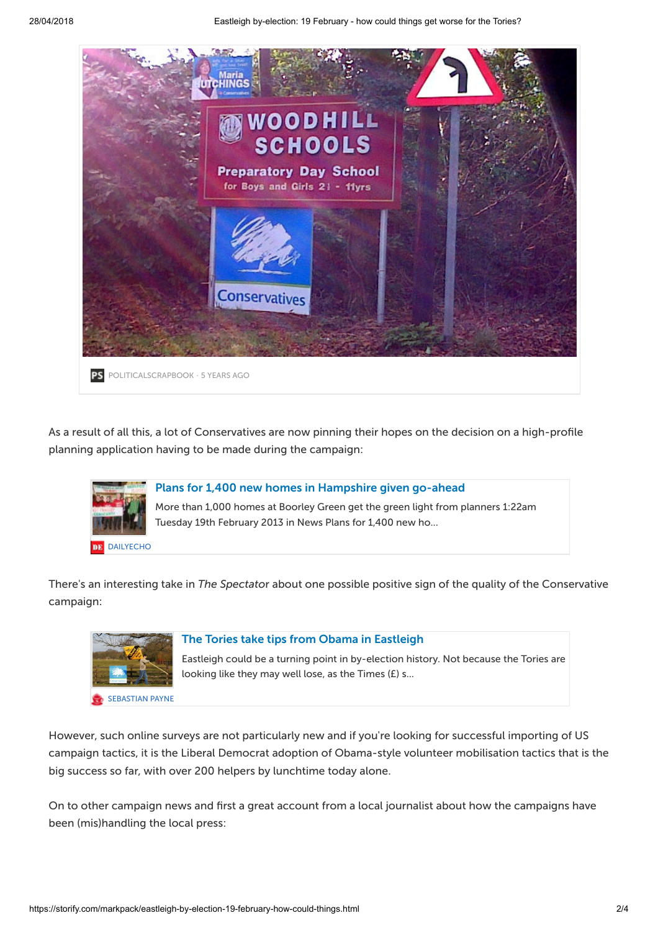

As a result of all this, a lot of Conservatives are now pinning their hopes on the decision on a high-profile planning application having to be made during the campaign:



There's an interesting take in The Spectator about one possible positive sign of the quality of the Conservative campaign:



## The Tories take tips from Obama in [Eastleigh](http://blogs.spectator.co.uk/coffeehouse/2013/02/will-eastleigh-be-remembered-as-a-landmark-by-election-for-campaigning/)

Eastleigh could be a turning point in by-election history. Not because the Tories are looking like they may well lose, as the Times (£) s...

However, such online surveys are not particularly new and if you're looking for successful importing of US campaign tactics, it is the Liberal Democrat adoption of Obama-style volunteer mobilisation tactics that is the big success so far, with over 200 helpers by lunchtime today alone.

On to other campaign news and first a great account from a local journalist about how the campaigns have been (mis)handling the local press: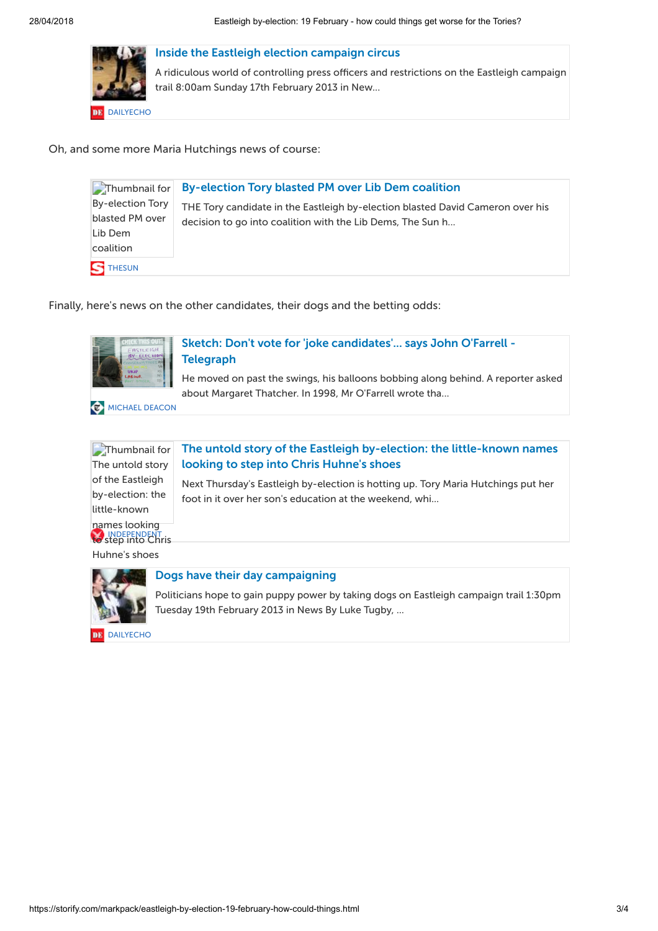

Inside the Eastleigh election [campaign](http://www.dailyecho.co.uk/news/10233543.Inside_the_Eastleigh_election_campaign_circus/) circus

A ridiculous world of controlling press officers and restrictions on the Eastleigh campaign trail 8:00am Sunday 17th February 2013 in New...

Oh, and some more Maria Hutchings news of course:

| Thumbnail for                                               | <b>By-election Tory blasted PM over Lib Dem coalition</b>                                                                                    |
|-------------------------------------------------------------|----------------------------------------------------------------------------------------------------------------------------------------------|
| By-election Tory<br>blasted PM over<br>Lib Dem<br>coalition | THE Tory candidate in the Eastleigh by-election blasted David Cameron over his<br>decision to go into coalition with the Lib Dems, The Sun h |
| $\mathbf S$ THESUN                                          |                                                                                                                                              |

Finally, here's news on the other candidates, their dogs and the betting odds:



Sketch: Don't vote for 'joke [candidates'...](http://www.telegraph.co.uk/news/politics/9880954/Sketch-Dont-vote-for-joke-candidates...-says-John-OFarrell.html) says John O'Farrell - **Telegraph** 

He moved on past the swings, his balloons bobbing along behind. A reporter asked about Margaret Thatcher. In 1998, Mr O'Farrell wrote tha...

**C** [MICHAEL](http://www.telegraph.co.uk/journalists/michael-deacon/) DEACON

[INDEPENDENT](http://www.independent.co.uk/) [to](http://www.independent.co.uk/) step into Chris Thumbnail for The untold story of the Eastleigh by-election: the little-known names looking



Next Thursday's Eastleigh by-election is hotting up. Tory Maria Hutchings put her foot in it over her son's education at the weekend, whi...

Huhne's shoes



## Dogs have their day [campaigning](http://www.dailyecho.co.uk/news/10236984.Dogs_have_their_day_campaigning/)

Politicians hope to gain puppy power by taking dogs on Eastleigh campaign trail 1:30pm Tuesday 19th February 2013 in News By Luke Tugby, ...

[DAILYECHO](http://www.dailyecho.co.uk/)